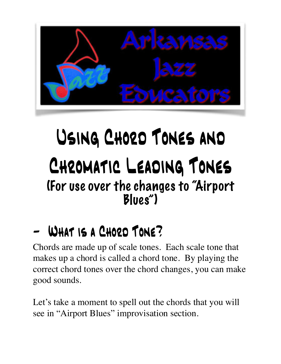

# Using Chord Tones and Chromatic Leading Tones (For use over the changes to "Airport Blues")

### WHAT IS A CHORD TONE?

Chords are made up of scale tones. Each scale tone that makes up a chord is called a chord tone. By playing the correct chord tones over the chord changes, you can make good sounds.

Let's take a moment to spell out the chords that you will see in "Airport Blues" improvisation section.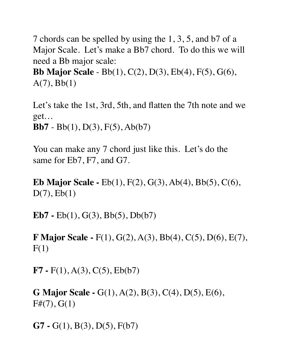7 chords can be spelled by using the 1, 3, 5, and b7 of a Major Scale. Let's make a Bb7 chord. To do this we will need a Bb major scale:

**Bb Major Scale** - Bb(1), C(2), D(3), Eb(4), F(5), G(6),  $A(7), Bb(1)$ 

Let's take the 1st, 3rd, 5th, and flatten the 7th note and we get…

**Bb7** - Bb(1), D(3), F(5), Ab(b7)

You can make any 7 chord just like this. Let's do the same for Eb7, F7, and G7.

**Eb Major Scale -** Eb(1), F(2), G(3), Ab(4), Bb(5), C(6),  $D(7), Eb(1)$ 

**Eb7 -** Eb(1), G(3), Bb(5), Db(b7)

**F Major Scale -** F(1), G(2), A(3), Bb(4), C(5), D(6), E(7),  $F(1)$ 

**F7 -** F(1), A(3), C(5), Eb(b7)

**G Major Scale -** G(1), A(2), B(3), C(4), D(5), E(6),  $F#(7), G(1)$ 

**G7 -** G(1), B(3), D(5), F(b7)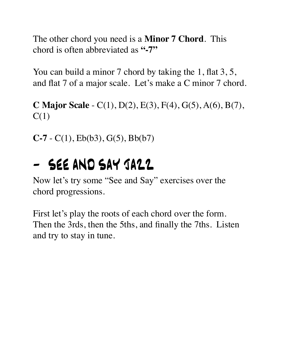The other chord you need is a **Minor 7 Chord**. This chord is often abbreviated as **"-7"**

You can build a minor 7 chord by taking the 1, flat 3, 5, and flat 7 of a major scale. Let's make a C minor 7 chord.

**C Major Scale** - C(1), D(2), E(3), F(4), G(5), A(6), B(7),  $C(1)$ 

**C-7** - C(1), Eb(b3), G(5), Bb(b7)

## - SEE AND SAY JAZZ

Now let's try some "See and Say" exercises over the chord progressions.

First let's play the roots of each chord over the form. Then the 3rds, then the 5ths, and finally the 7ths. Listen and try to stay in tune.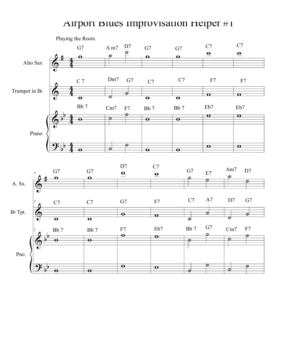#### Airport Blues improvisation Helper  $\#1$

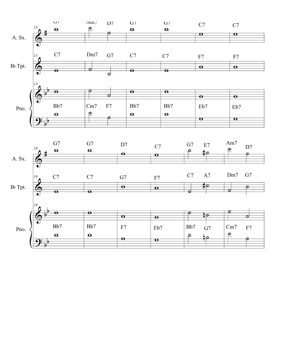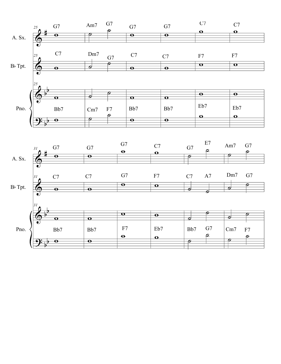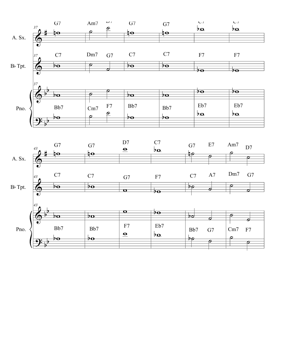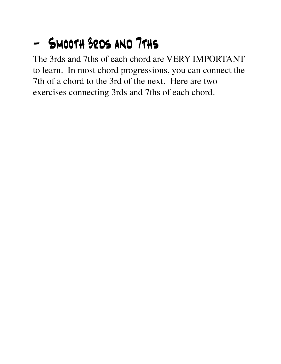### - Smooth 3rds and 7ths

The 3rds and 7ths of each chord are VERY IMPORTANT to learn. In most chord progressions, you can connect the 7th of a chord to the 3rd of the next. Here are two exercises connecting 3rds and 7ths of each chord.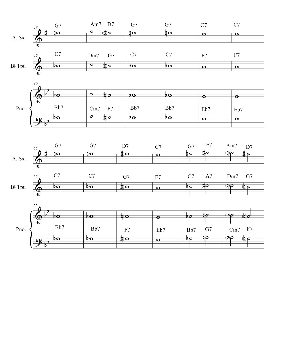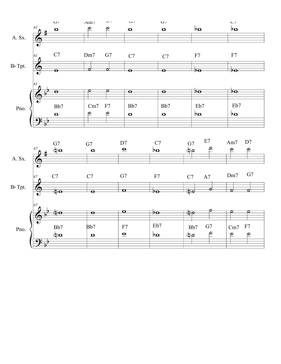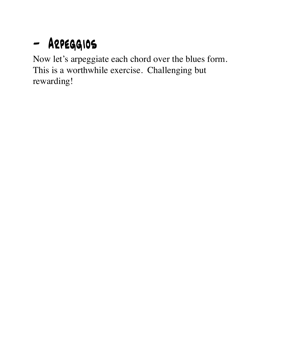### - Arpeggios

Now let's arpeggiate each chord over the blues form. This is a worthwhile exercise. Challenging but rewarding!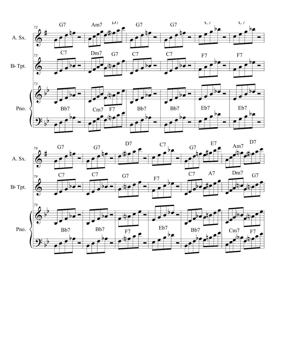

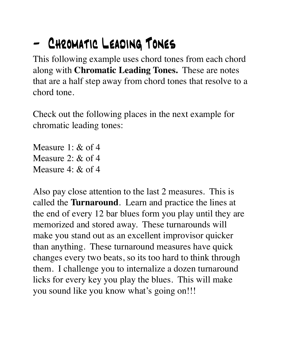### - Chromatic Leading Tones

This following example uses chord tones from each chord along with **Chromatic Leading Tones.** These are notes that are a half step away from chord tones that resolve to a chord tone.

Check out the following places in the next example for chromatic leading tones:

Measure 1: & of 4 Measure 2: & of 4 Measure 4: & of 4

Also pay close attention to the last 2 measures. This is called the **Turnaround**. Learn and practice the lines at the end of every 12 bar blues form you play until they are memorized and stored away. These turnarounds will make you stand out as an excellent improvisor quicker than anything. These turnaround measures have quick changes every two beats, so its too hard to think through them. I challenge you to internalize a dozen turnaround licks for every key you play the blues. This will make you sound like you know what's going on!!!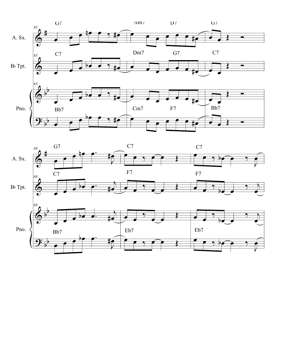

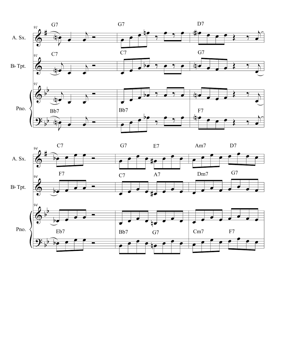

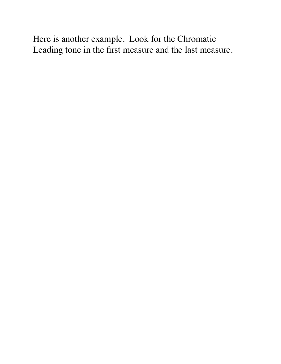Here is another example. Look for the Chromatic Leading tone in the first measure and the last measure.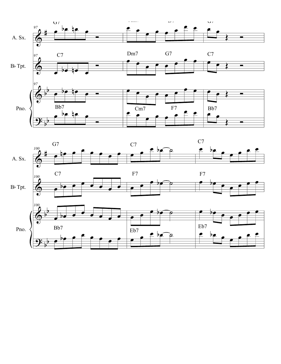

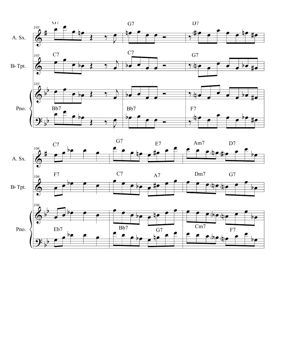

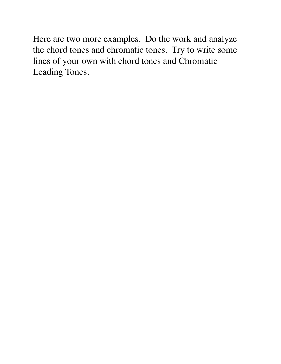Here are two more examples. Do the work and analyze the chord tones and chromatic tones. Try to write some lines of your own with chord tones and Chromatic Leading Tones.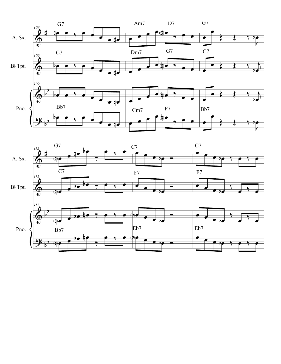

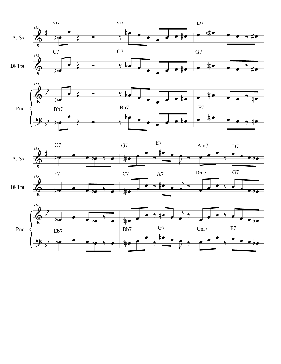

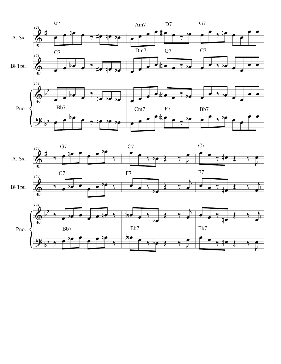